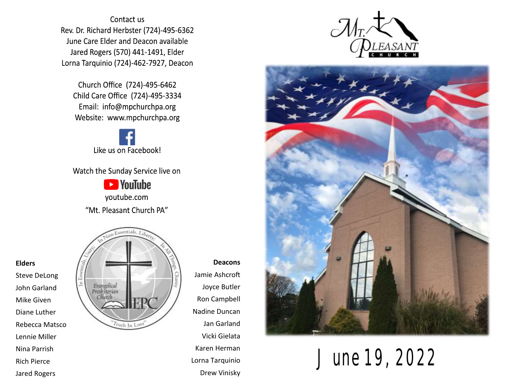Contact us Rev. Dr. Richard Herbster (724)-495-6362 June Care Elder and Deacon available Jared Rogers (570) 441-1491, Elder Lorna Tarquinio (724)-462-7927, Deacon

Church Office (724)-495-6462 Child Care Office (724)-495-3334 Email: info@mpchurchpa.org Website: www.mpchurchpa.org

Like us on Facebook!

Watch the Sunday Service live on

**Ex** YouTube youtube.com "Mt. Pleasant Church PA"



**Deacons** Jamie Ashcroft Joyce Butler Ron Campbell Nadine Duncan Jan Garland Vicki Gielata Karen Herman Lorna Tarquinio Drew Vinisky





June 19, 2022

#### **Elders**

Steve DeLong John Garland Mike Given Diane Luther Rebecca Matsco Lennie Miller Nina Parrish Rich Pierce Jared Rogers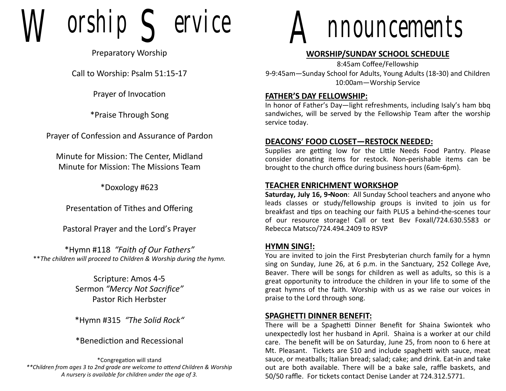$orship$   $\subseteq$  ervice

Preparatory Worship

Call to Worship: Psalm 51:15-17

Prayer of Invocation

\*Praise Through Song

Prayer of Confession and Assurance of Pardon

Minute for Mission: The Center, Midland Minute for Mission: The Missions Team

\*Doxology #623

Presentation of Tithes and Offering

Pastoral Prayer and the Lord's Prayer

\*Hymn #118 *"Faith of Our Fathers"* \*\**The children will proceed to Children & Worship during the hymn.*

> Scripture: Amos 4-5 Sermon *"Mercy Not Sacrifice"* Pastor Rich Herbster

> \*Hymn #315 *"The Solid Rock"*

\*Benediction and Recessional

\*Congregation will stand *\*\*Children from ages 3 to 2nd grade are welcome to attend Children & Worship A nursery is available for children under the age of 3.*



# **WORSHIP/SUNDAY SCHOOL SCHEDULE**

8:45am Coffee/Fellowship 9-9:45am—Sunday School for Adults, Young Adults (18-30) and Children 10:00am—Worship Service

#### **FATHER'S DAY FELLOWSHIP:**

In honor of Father's Day—light refreshments, including Isaly's ham bbq sandwiches, will be served by the Fellowship Team after the worship service today.

### **DEACONS' FOOD CLOSET—RESTOCK NEEDED:**

Supplies are getting low for the Little Needs Food Pantry. Please consider donating items for restock. Non-perishable items can be brought to the church office during business hours (6am-6pm).

### **TEACHER ENRICHMENT WORKSHOP**

**Saturday, July 16, 9-Noon**: All Sunday School teachers and anyone who leads classes or study/fellowship groups is invited to join us for breakfast and tips on teaching our faith PLUS a behind-the-scenes tour of our resource storage! Call or text Bev Foxall/724.630.5583 or Rebecca Matsco/724.494.2409 to RSVP

#### **HYMN SING!:**

You are invited to join the First Presbyterian church family for a hymn sing on Sunday, June 26, at 6 p.m. in the Sanctuary, 252 College Ave, Beaver. There will be songs for children as well as adults, so this is a great opportunity to introduce the children in your life to some of the great hymns of the faith. Worship with us as we raise our voices in praise to the Lord through song.

#### **SPAGHETTI DINNER BENEFIT:**

There will be a Spaghetti Dinner Benefit for Shaina Swiontek who unexpectedly lost her husband in April. Shaina is a worker at our child care. The benefit will be on Saturday, June 25, from noon to 6 here at Mt. Pleasant. Tickets are \$10 and include spaghetti with sauce, meat sauce, or meatballs; Italian bread; salad; cake; and drink. Eat-in and take out are both available. There will be a bake sale, raffle baskets, and 50/50 raffle. For tickets contact Denise Lander at 724.312.5771.